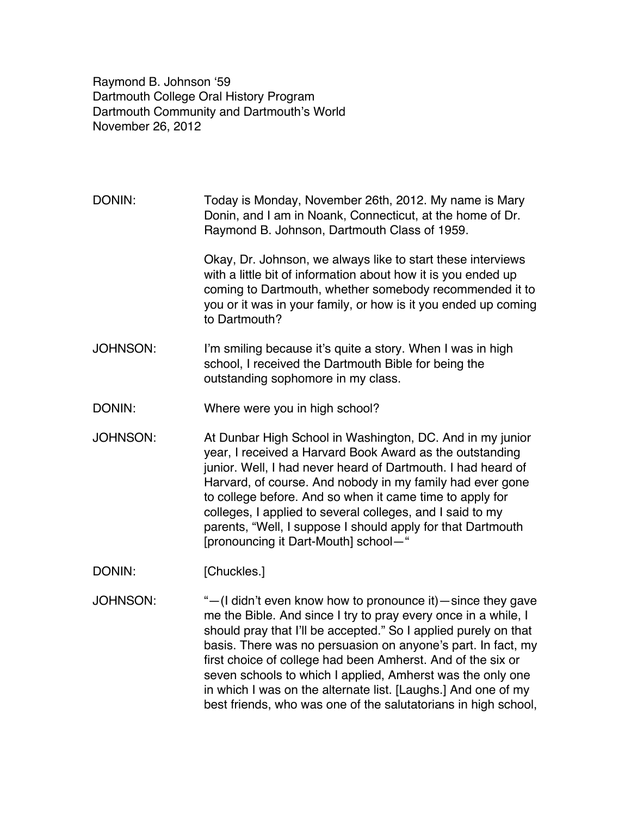Raymond B. Johnson ʻ59 Dartmouth College Oral History Program Dartmouth Community and Dartmouth's World November 26, 2012

DONIN: Today is Monday, November 26th, 2012. My name is Mary Donin, and I am in Noank, Connecticut, at the home of Dr. Raymond B. Johnson, Dartmouth Class of 1959. Okay, Dr. Johnson, we always like to start these interviews with a little bit of information about how it is you ended up coming to Dartmouth, whether somebody recommended it to

you or it was in your family, or how is it you ended up coming to Dartmouth?

- JOHNSON: I'm smiling because it's quite a story. When I was in high school, I received the Dartmouth Bible for being the outstanding sophomore in my class.
- DONIN: Where were you in high school?
- JOHNSON: At Dunbar High School in Washington, DC. And in my junior year, I received a Harvard Book Award as the outstanding junior. Well, I had never heard of Dartmouth. I had heard of Harvard, of course. And nobody in my family had ever gone to college before. And so when it came time to apply for colleges, I applied to several colleges, and I said to my parents, "Well, I suppose I should apply for that Dartmouth [pronouncing it Dart-Mouth] school—"
- DONIN: [Chuckles.]
- JOHNSON: "—(I didn't even know how to pronounce it)—since they gave me the Bible. And since I try to pray every once in a while, I should pray that I'll be accepted." So I applied purely on that basis. There was no persuasion on anyone's part. In fact, my first choice of college had been Amherst. And of the six or seven schools to which I applied, Amherst was the only one in which I was on the alternate list. [Laughs.] And one of my best friends, who was one of the salutatorians in high school,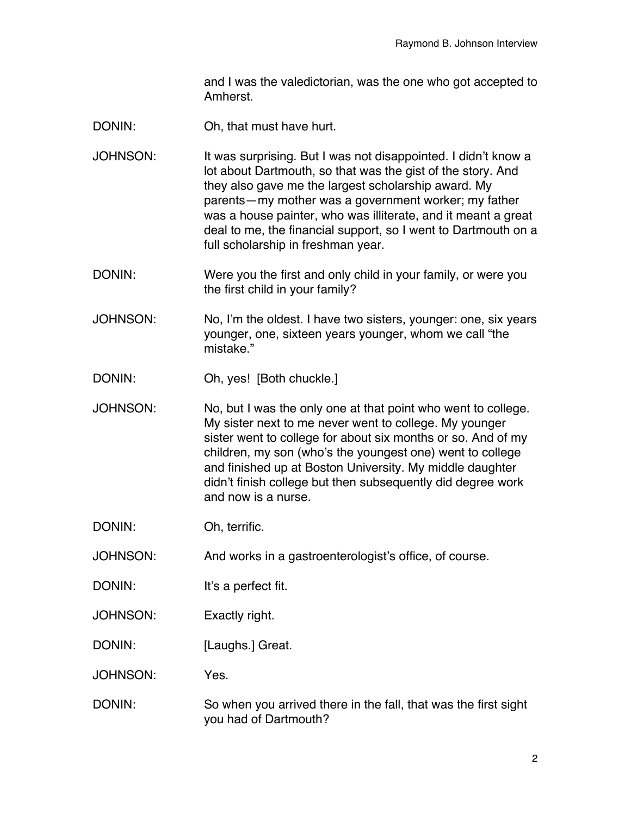and I was the valedictorian, was the one who got accepted to Amherst.

- DONIN: Oh, that must have hurt.
- JOHNSON: It was surprising. But I was not disappointed. I didn't know a lot about Dartmouth, so that was the gist of the story. And they also gave me the largest scholarship award. My parents—my mother was a government worker; my father was a house painter, who was illiterate, and it meant a great deal to me, the financial support, so I went to Dartmouth on a full scholarship in freshman year.
- DONIN: Were you the first and only child in your family, or were you the first child in your family?
- JOHNSON: No, I'm the oldest. I have two sisters, younger: one, six years younger, one, sixteen years younger, whom we call "the mistake."
- DONIN: Oh, yes! [Both chuckle.]
- JOHNSON: No, but I was the only one at that point who went to college. My sister next to me never went to college. My younger sister went to college for about six months or so. And of my children, my son (who's the youngest one) went to college and finished up at Boston University. My middle daughter didn't finish college but then subsequently did degree work and now is a nurse.
- DONIN: Oh, terrific.
- JOHNSON: And works in a gastroenterologist's office, of course.
- DONIN: It's a perfect fit.
- JOHNSON: Exactly right.
- DONIN: [Laughs.] Great.
- JOHNSON: Yes.
- DONIN: So when you arrived there in the fall, that was the first sight you had of Dartmouth?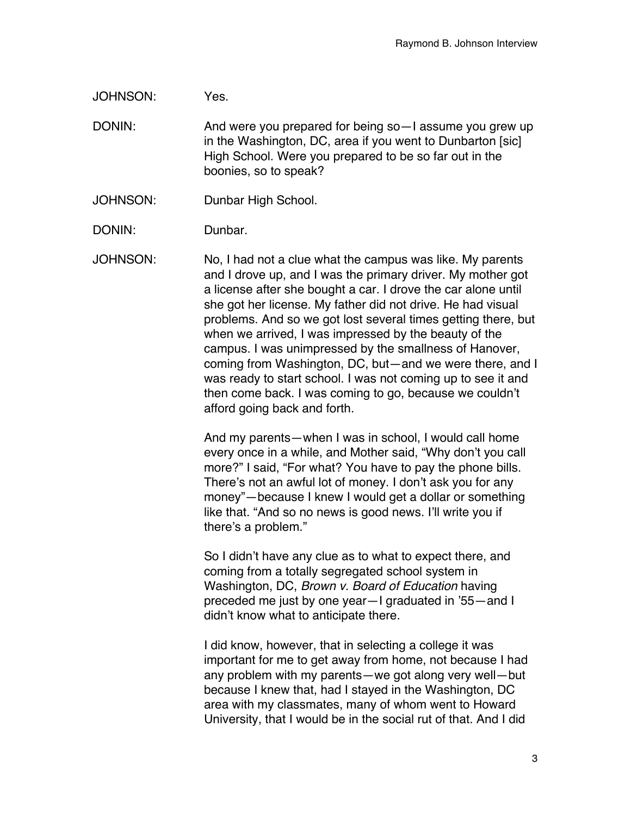JOHNSON: Yes.

DONIN: And were you prepared for being so-I assume you grew up in the Washington, DC, area if you went to Dunbarton [sic] High School. Were you prepared to be so far out in the boonies, so to speak?

- JOHNSON: Dunbar High School.
- DONIN: Dunbar.

JOHNSON: No, I had not a clue what the campus was like. My parents and I drove up, and I was the primary driver. My mother got a license after she bought a car. I drove the car alone until she got her license. My father did not drive. He had visual problems. And so we got lost several times getting there, but when we arrived, I was impressed by the beauty of the campus. I was unimpressed by the smallness of Hanover, coming from Washington, DC, but—and we were there, and I was ready to start school. I was not coming up to see it and then come back. I was coming to go, because we couldn't afford going back and forth.

> And my parents—when I was in school, I would call home every once in a while, and Mother said, "Why don't you call more?" I said, "For what? You have to pay the phone bills. There's not an awful lot of money. I don't ask you for any money"—because I knew I would get a dollar or something like that. "And so no news is good news. I'll write you if there's a problem."

So I didn't have any clue as to what to expect there, and coming from a totally segregated school system in Washington, DC, *Brown v. Board of Education* having preceded me just by one year—I graduated in '55—and I didn't know what to anticipate there.

I did know, however, that in selecting a college it was important for me to get away from home, not because I had any problem with my parents—we got along very well—but because I knew that, had I stayed in the Washington, DC area with my classmates, many of whom went to Howard University, that I would be in the social rut of that. And I did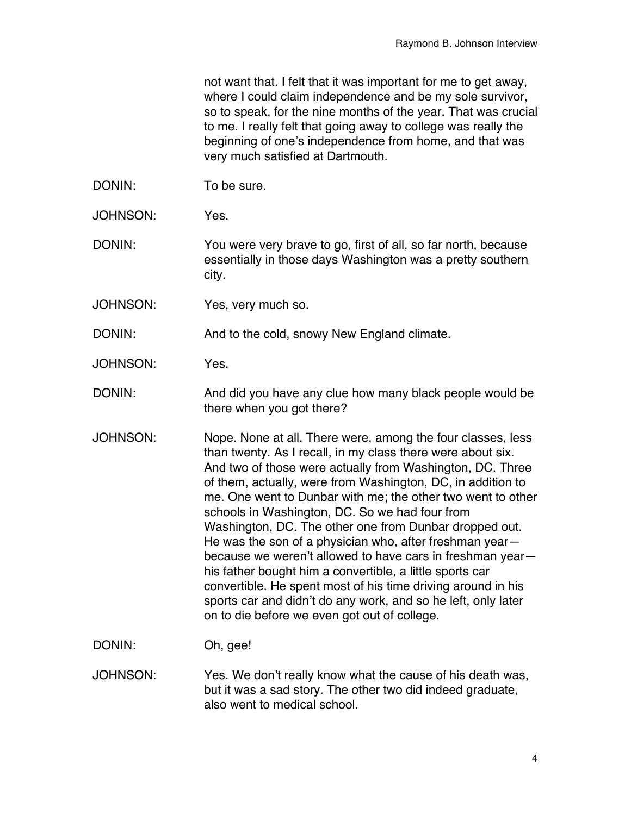not want that. I felt that it was important for me to get away, where I could claim independence and be my sole survivor, so to speak, for the nine months of the year. That was crucial to me. I really felt that going away to college was really the beginning of one's independence from home, and that was very much satisfied at Dartmouth.

- DONIN: To be sure.
- JOHNSON: Yes.

DONIN: You were very brave to go, first of all, so far north, because essentially in those days Washington was a pretty southern city.

JOHNSON: Yes, very much so.

DONIN: And to the cold, snowy New England climate.

JOHNSON: Yes.

DONIN: And did you have any clue how many black people would be there when you got there?

JOHNSON: Nope. None at all. There were, among the four classes, less than twenty. As I recall, in my class there were about six. And two of those were actually from Washington, DC. Three of them, actually, were from Washington, DC, in addition to me. One went to Dunbar with me; the other two went to other schools in Washington, DC. So we had four from Washington, DC. The other one from Dunbar dropped out. He was the son of a physician who, after freshman year because we weren't allowed to have cars in freshman year his father bought him a convertible, a little sports car convertible. He spent most of his time driving around in his sports car and didn't do any work, and so he left, only later on to die before we even got out of college.

DONIN: Oh, gee!

JOHNSON: Yes. We don't really know what the cause of his death was, but it was a sad story. The other two did indeed graduate, also went to medical school.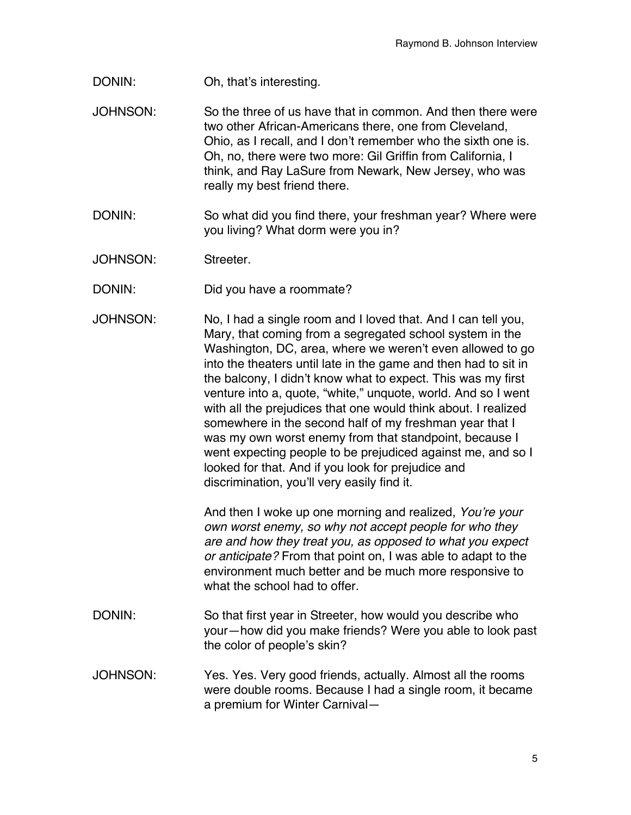- DONIN: Oh, that's interesting.
- JOHNSON: So the three of us have that in common. And then there were two other African-Americans there, one from Cleveland, Ohio, as I recall, and I don't remember who the sixth one is. Oh, no, there were two more: Gil Griffin from California, I think, and Ray LaSure from Newark, New Jersey, who was really my best friend there.
- DONIN: So what did you find there, your freshman year? Where were you living? What dorm were you in?
- JOHNSON: Streeter.
- DONIN: Did you have a roommate?
- JOHNSON: No, I had a single room and I loved that. And I can tell you, Mary, that coming from a segregated school system in the Washington, DC, area, where we weren't even allowed to go into the theaters until late in the game and then had to sit in the balcony, I didn't know what to expect. This was my first venture into a, quote, "white," unquote, world. And so I went with all the prejudices that one would think about. I realized somewhere in the second half of my freshman year that I was my own worst enemy from that standpoint, because I went expecting people to be prejudiced against me, and so I looked for that. And if you look for prejudice and discrimination, you'll very easily find it.

And then I woke up one morning and realized, *You*'*re your own worst enemy, so why not accept people for who they are and how they treat you, as opposed to what you expect or anticipate?* From that point on, I was able to adapt to the environment much better and be much more responsive to what the school had to offer.

- DONIN: So that first year in Streeter, how would you describe who your—how did you make friends? Were you able to look past the color of people's skin?
- JOHNSON: Yes. Yes. Very good friends, actually. Almost all the rooms were double rooms. Because I had a single room, it became a premium for Winter Carnival—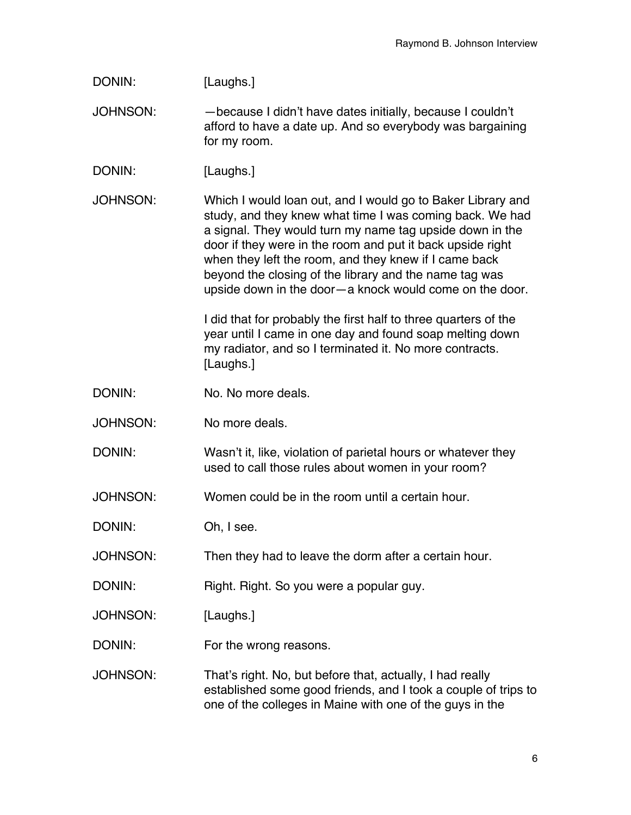| DONIN:          | [Laughs.]                                                                                                                                                                                                                                                                                                                                                                                                                       |
|-----------------|---------------------------------------------------------------------------------------------------------------------------------------------------------------------------------------------------------------------------------------------------------------------------------------------------------------------------------------------------------------------------------------------------------------------------------|
| <b>JOHNSON:</b> | -because I didn't have dates initially, because I couldn't<br>afford to have a date up. And so everybody was bargaining<br>for my room.                                                                                                                                                                                                                                                                                         |
| DONIN:          | [Laughs.]                                                                                                                                                                                                                                                                                                                                                                                                                       |
| <b>JOHNSON:</b> | Which I would loan out, and I would go to Baker Library and<br>study, and they knew what time I was coming back. We had<br>a signal. They would turn my name tag upside down in the<br>door if they were in the room and put it back upside right<br>when they left the room, and they knew if I came back<br>beyond the closing of the library and the name tag was<br>upside down in the door-a knock would come on the door. |
|                 | I did that for probably the first half to three quarters of the<br>year until I came in one day and found soap melting down<br>my radiator, and so I terminated it. No more contracts.<br>[Laughs.]                                                                                                                                                                                                                             |
| DONIN:          | No. No more deals.                                                                                                                                                                                                                                                                                                                                                                                                              |
| <b>JOHNSON:</b> | No more deals.                                                                                                                                                                                                                                                                                                                                                                                                                  |
| DONIN:          | Wasn't it, like, violation of parietal hours or whatever they<br>used to call those rules about women in your room?                                                                                                                                                                                                                                                                                                             |
| <b>JOHNSON:</b> | Women could be in the room until a certain hour.                                                                                                                                                                                                                                                                                                                                                                                |
| DONIN:          | Oh, I see                                                                                                                                                                                                                                                                                                                                                                                                                       |
| <b>JOHNSON:</b> | Then they had to leave the dorm after a certain hour.                                                                                                                                                                                                                                                                                                                                                                           |
| DONIN:          | Right. Right. So you were a popular guy.                                                                                                                                                                                                                                                                                                                                                                                        |
| <b>JOHNSON:</b> | [Laughs.]                                                                                                                                                                                                                                                                                                                                                                                                                       |
| DONIN:          | For the wrong reasons.                                                                                                                                                                                                                                                                                                                                                                                                          |
| <b>JOHNSON:</b> | That's right. No, but before that, actually, I had really<br>established some good friends, and I took a couple of trips to<br>one of the colleges in Maine with one of the guys in the                                                                                                                                                                                                                                         |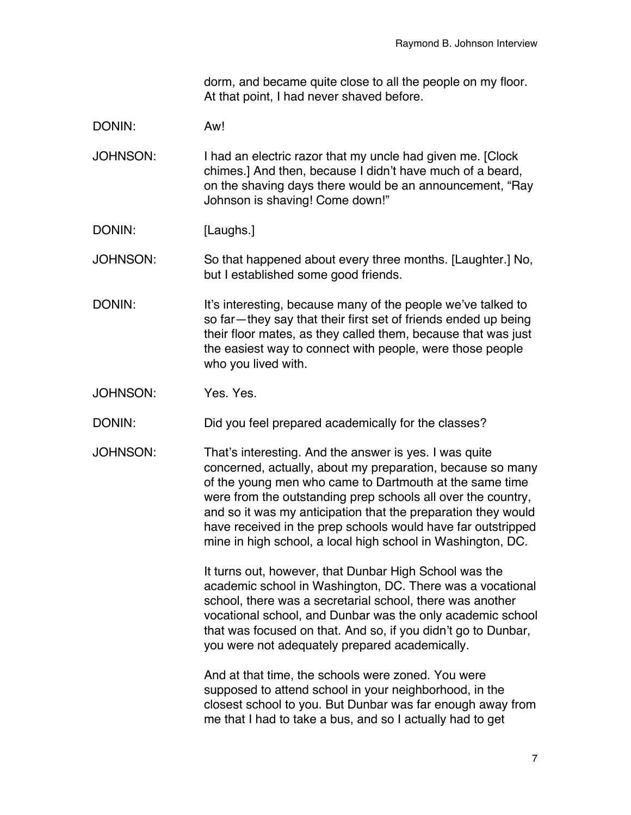dorm, and became quite close to all the people on my floor. At that point, I had never shaved before.

DONIN: Aw!

JOHNSON: I had an electric razor that my uncle had given me. [Clock chimes.] And then, because I didn't have much of a beard, on the shaving days there would be an announcement, "Ray Johnson is shaving! Come down!"

DONIN: [Laughs.]

JOHNSON: So that happened about every three months. [Laughter.] No, but I established some good friends.

- DONIN: It's interesting, because many of the people we've talked to so far—they say that their first set of friends ended up being their floor mates, as they called them, because that was just the easiest way to connect with people, were those people who you lived with.
- JOHNSON: Yes. Yes.

DONIN: Did you feel prepared academically for the classes?

JOHNSON: That's interesting. And the answer is yes. I was quite concerned, actually, about my preparation, because so many of the young men who came to Dartmouth at the same time were from the outstanding prep schools all over the country, and so it was my anticipation that the preparation they would have received in the prep schools would have far outstripped mine in high school, a local high school in Washington, DC.

> It turns out, however, that Dunbar High School was the academic school in Washington, DC. There was a vocational school, there was a secretarial school, there was another vocational school, and Dunbar was the only academic school that was focused on that. And so, if you didn't go to Dunbar, you were not adequately prepared academically.

> And at that time, the schools were zoned. You were supposed to attend school in your neighborhood, in the closest school to you. But Dunbar was far enough away from me that I had to take a bus, and so I actually had to get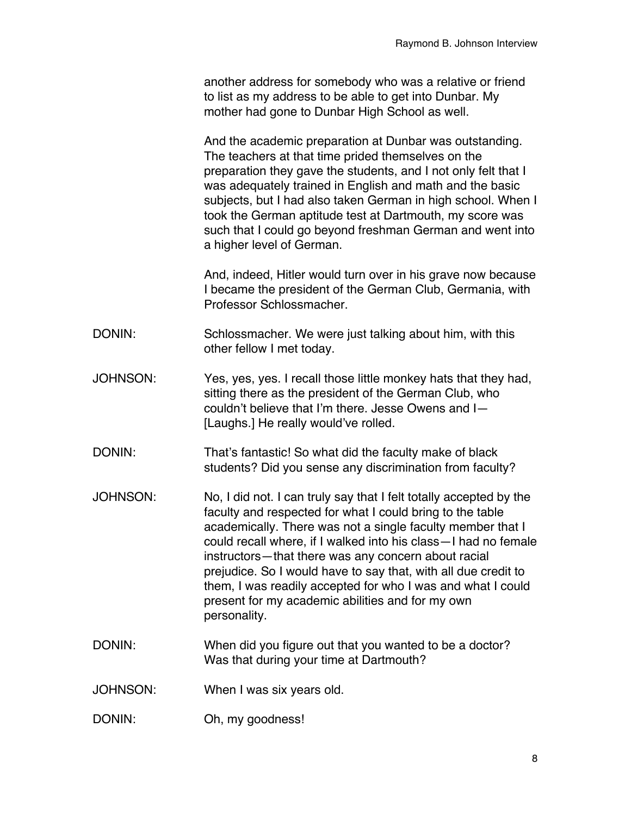another address for somebody who was a relative or friend to list as my address to be able to get into Dunbar. My mother had gone to Dunbar High School as well.

And the academic preparation at Dunbar was outstanding. The teachers at that time prided themselves on the preparation they gave the students, and I not only felt that I was adequately trained in English and math and the basic subjects, but I had also taken German in high school. When I took the German aptitude test at Dartmouth, my score was such that I could go beyond freshman German and went into a higher level of German.

And, indeed, Hitler would turn over in his grave now because I became the president of the German Club, Germania, with Professor Schlossmacher.

- DONIN: Schlossmacher. We were just talking about him, with this other fellow I met today.
- JOHNSON: Yes, yes, yes. I recall those little monkey hats that they had, sitting there as the president of the German Club, who couldn't believe that I'm there. Jesse Owens and I— [Laughs.] He really would've rolled.
- DONIN: That's fantastic! So what did the faculty make of black students? Did you sense any discrimination from faculty?
- JOHNSON: No, I did not. I can truly say that I felt totally accepted by the faculty and respected for what I could bring to the table academically. There was not a single faculty member that I could recall where, if I walked into his class—I had no female instructors—that there was any concern about racial prejudice. So I would have to say that, with all due credit to them, I was readily accepted for who I was and what I could present for my academic abilities and for my own personality.
- DONIN: When did you figure out that you wanted to be a doctor? Was that during your time at Dartmouth?
- JOHNSON: When I was six years old.
- DONIN: Oh, my goodness!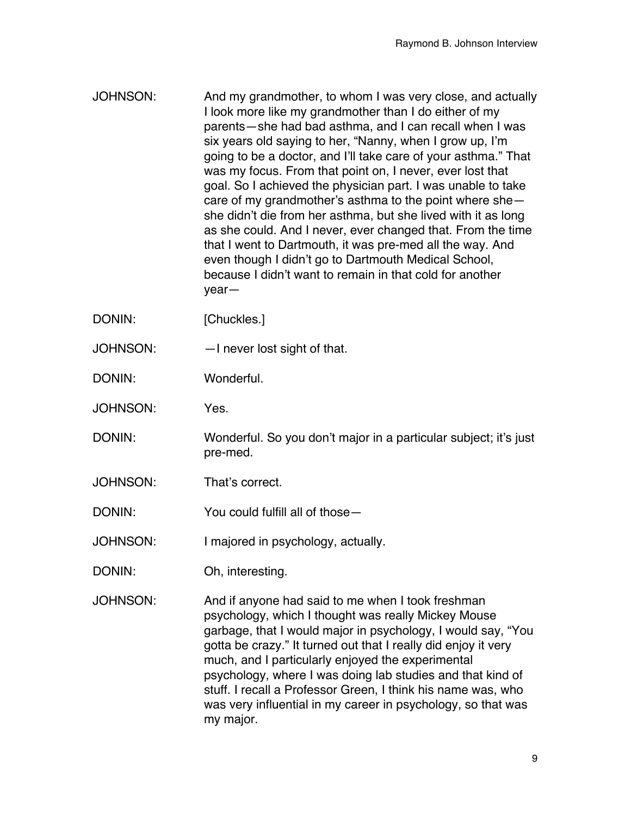- JOHNSON: And my grandmother, to whom I was very close, and actually I look more like my grandmother than I do either of my parents—she had bad asthma, and I can recall when I was six years old saying to her, "Nanny, when I grow up, I'm going to be a doctor, and I'll take care of your asthma." That was my focus. From that point on, I never, ever lost that goal. So I achieved the physician part. I was unable to take care of my grandmother's asthma to the point where she she didn't die from her asthma, but she lived with it as long as she could. And I never, ever changed that. From the time that I went to Dartmouth, it was pre-med all the way. And even though I didn't go to Dartmouth Medical School, because I didn't want to remain in that cold for another year—
- DONIN: [Chuckles.]
- JOHNSON: —I never lost sight of that.
- DONIN: Wonderful.
- JOHNSON: Yes.
- DONIN: Wonderful. So you don't major in a particular subject; it's just pre-med.
- JOHNSON: That's correct.
- DONIN: You could fulfill all of those—
- JOHNSON: I majored in psychology, actually.
- DONIN: Oh, interesting.
- JOHNSON: And if anyone had said to me when I took freshman psychology, which I thought was really Mickey Mouse garbage, that I would major in psychology, I would say, "You gotta be crazy." It turned out that I really did enjoy it very much, and I particularly enjoyed the experimental psychology, where I was doing lab studies and that kind of stuff. I recall a Professor Green, I think his name was, who was very influential in my career in psychology, so that was my major.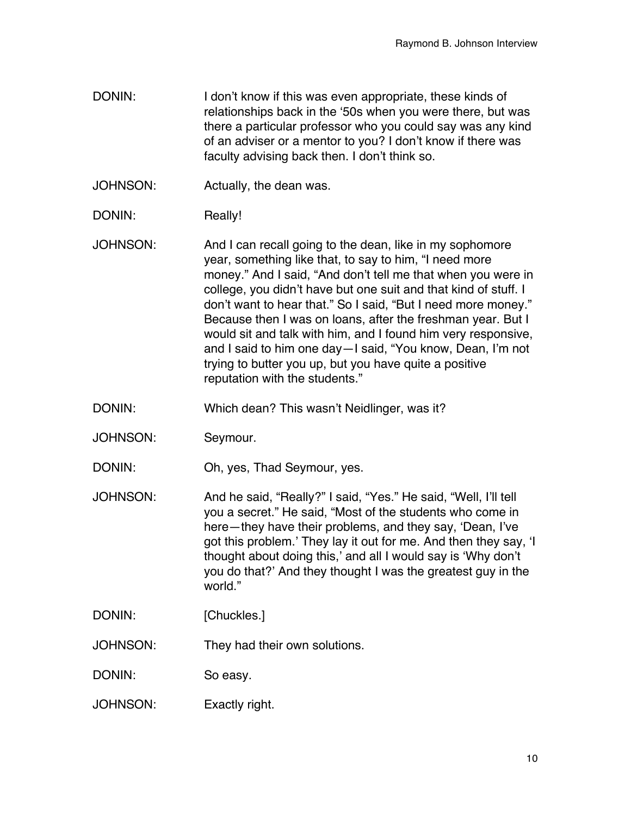- DONIN: I don't know if this was even appropriate, these kinds of relationships back in the ʻ50s when you were there, but was there a particular professor who you could say was any kind of an adviser or a mentor to you? I don't know if there was faculty advising back then. I don't think so.
- JOHNSON: Actually, the dean was.
- DONIN: Really!
- JOHNSON: And I can recall going to the dean, like in my sophomore year, something like that, to say to him, "I need more money." And I said, "And don't tell me that when you were in college, you didn't have but one suit and that kind of stuff. I don't want to hear that." So I said, "But I need more money." Because then I was on loans, after the freshman year. But I would sit and talk with him, and I found him very responsive, and I said to him one day—I said, "You know, Dean, I'm not trying to butter you up, but you have quite a positive reputation with the students."
- DONIN: Which dean? This wasn't Neidlinger, was it?
- JOHNSON: Seymour.
- DONIN: Oh, yes, Thad Seymour, yes.
- JOHNSON: And he said, "Really?" I said, "Yes." He said, "Well, I'll tell you a secret." He said, "Most of the students who come in here—they have their problems, and they say, ʻDean, I've got this problem.' They lay it out for me. And then they say, ʻI thought about doing this,' and all I would say is ʻWhy don't you do that?' And they thought I was the greatest guy in the world."
- DONIN: [Chuckles.]
- JOHNSON: They had their own solutions.
- DONIN: So easy.
- JOHNSON: Exactly right.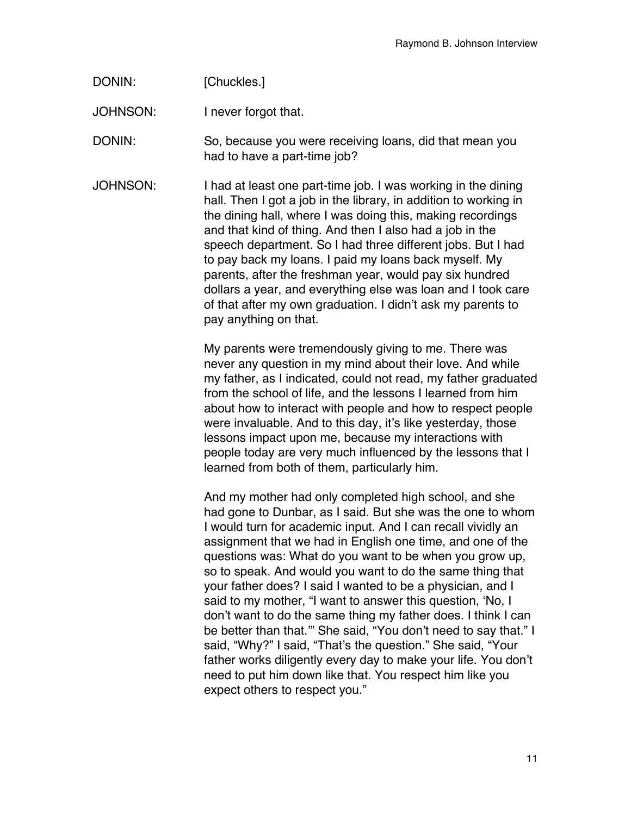| DONIN: | [Chuckles.] |
|--------|-------------|
|--------|-------------|

JOHNSON: I never forgot that.

DONIN: So, because you were receiving loans, did that mean you had to have a part-time job?

JOHNSON: I had at least one part-time job. I was working in the dining hall. Then I got a job in the library, in addition to working in the dining hall, where I was doing this, making recordings and that kind of thing. And then I also had a job in the speech department. So I had three different jobs. But I had to pay back my loans. I paid my loans back myself. My parents, after the freshman year, would pay six hundred dollars a year, and everything else was loan and I took care of that after my own graduation. I didn't ask my parents to pay anything on that.

> My parents were tremendously giving to me. There was never any question in my mind about their love. And while my father, as I indicated, could not read, my father graduated from the school of life, and the lessons I learned from him about how to interact with people and how to respect people were invaluable. And to this day, it's like yesterday, those lessons impact upon me, because my interactions with people today are very much influenced by the lessons that I learned from both of them, particularly him.

> And my mother had only completed high school, and she had gone to Dunbar, as I said. But she was the one to whom I would turn for academic input. And I can recall vividly an assignment that we had in English one time, and one of the questions was: What do you want to be when you grow up, so to speak. And would you want to do the same thing that your father does? I said I wanted to be a physician, and I said to my mother, "I want to answer this question, ʻNo, I don't want to do the same thing my father does. I think I can be better than that.'" She said, "You don't need to say that." I said, "Why?" I said, "That's the question." She said, "Your father works diligently every day to make your life. You don't need to put him down like that. You respect him like you expect others to respect you."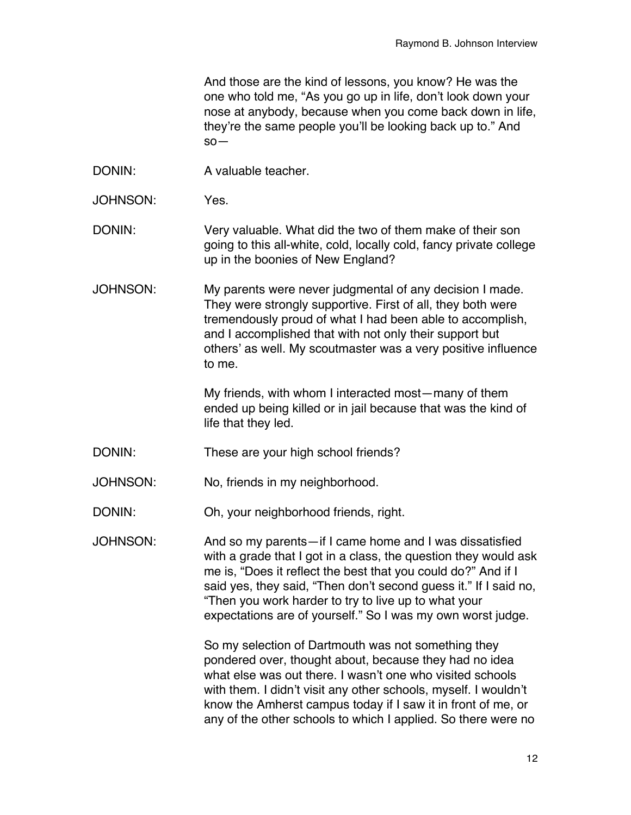And those are the kind of lessons, you know? He was the one who told me, "As you go up in life, don't look down your nose at anybody, because when you come back down in life, they're the same people you'll be looking back up to." And so—

- DONIN: A valuable teacher.
- JOHNSON: Yes.
- DONIN: Very valuable. What did the two of them make of their son going to this all-white, cold, locally cold, fancy private college up in the boonies of New England?
- JOHNSON: My parents were never judgmental of any decision I made. They were strongly supportive. First of all, they both were tremendously proud of what I had been able to accomplish, and I accomplished that with not only their support but others' as well. My scoutmaster was a very positive influence to me.

My friends, with whom I interacted most—many of them ended up being killed or in jail because that was the kind of life that they led.

- DONIN: These are your high school friends?
- JOHNSON: No, friends in my neighborhood.
- DONIN: Oh, your neighborhood friends, right.
- JOHNSON: And so my parents—if I came home and I was dissatisfied with a grade that I got in a class, the question they would ask me is, "Does it reflect the best that you could do?" And if I said yes, they said, "Then don't second guess it." If I said no, "Then you work harder to try to live up to what your expectations are of yourself." So I was my own worst judge.

So my selection of Dartmouth was not something they pondered over, thought about, because they had no idea what else was out there. I wasn't one who visited schools with them. I didn't visit any other schools, myself. I wouldn't know the Amherst campus today if I saw it in front of me, or any of the other schools to which I applied. So there were no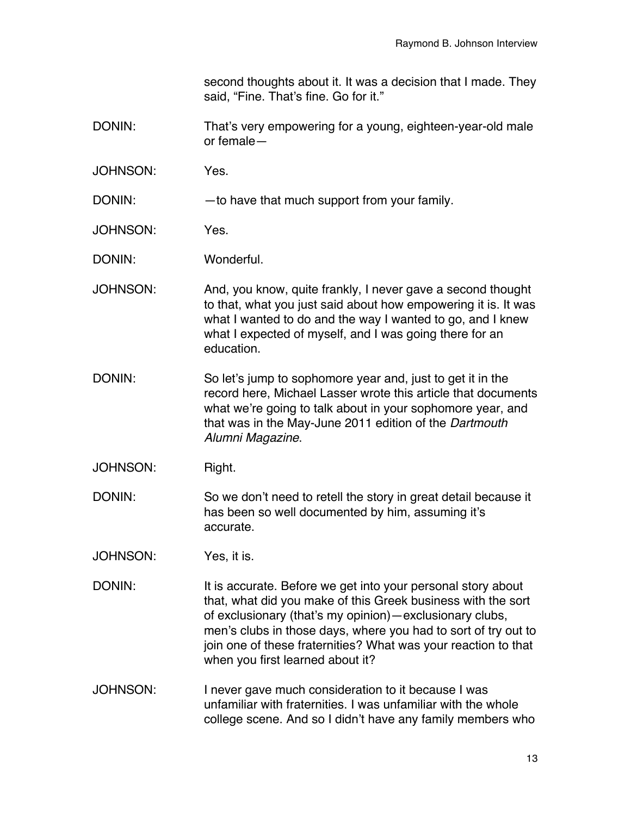second thoughts about it. It was a decision that I made. They said, "Fine. That's fine. Go for it."

- DONIN: That's very empowering for a young, eighteen-year-old male or female—
- JOHNSON: Yes.

DONIN: — — to have that much support from your family.

JOHNSON: Yes.

DONIN: Wonderful.

- JOHNSON: And, you know, quite frankly, I never gave a second thought to that, what you just said about how empowering it is. It was what I wanted to do and the way I wanted to go, and I knew what I expected of myself, and I was going there for an education.
- DONIN: So let's jump to sophomore year and, just to get it in the record here, Michael Lasser wrote this article that documents what we're going to talk about in your sophomore year, and that was in the May-June 2011 edition of the *Dartmouth Alumni Magazine*.
- JOHNSON: Right.
- DONIN: So we don't need to retell the story in great detail because it has been so well documented by him, assuming it's accurate.
- JOHNSON: Yes, it is.
- DONIN: It is accurate. Before we get into your personal story about that, what did you make of this Greek business with the sort of exclusionary (that's my opinion)—exclusionary clubs, men's clubs in those days, where you had to sort of try out to join one of these fraternities? What was your reaction to that when you first learned about it?
- JOHNSON: I never gave much consideration to it because I was unfamiliar with fraternities. I was unfamiliar with the whole college scene. And so I didn't have any family members who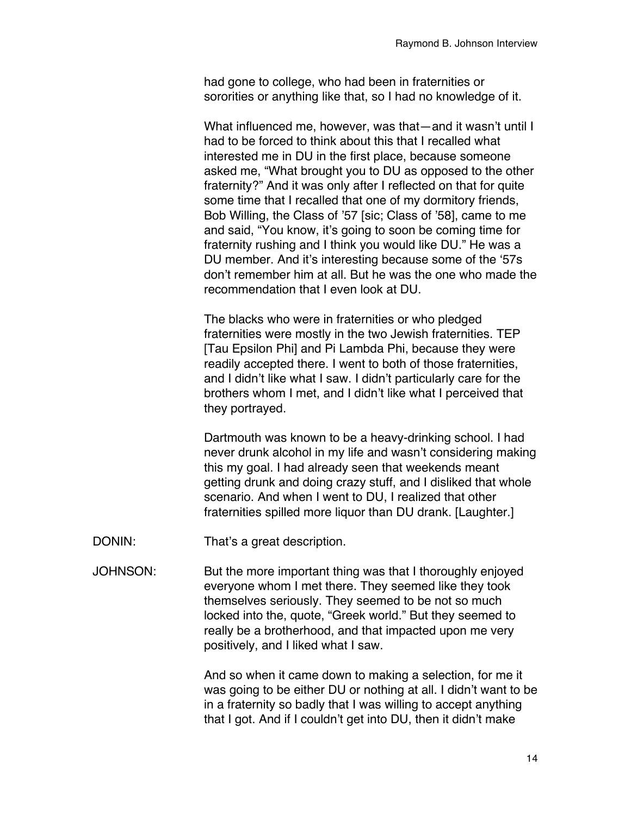had gone to college, who had been in fraternities or sororities or anything like that, so I had no knowledge of it.

What influenced me, however, was that-and it wasn't until I had to be forced to think about this that I recalled what interested me in DU in the first place, because someone asked me, "What brought you to DU as opposed to the other fraternity?" And it was only after I reflected on that for quite some time that I recalled that one of my dormitory friends, Bob Willing, the Class of '57 [sic; Class of '58], came to me and said, "You know, it's going to soon be coming time for fraternity rushing and I think you would like DU." He was a DU member. And it's interesting because some of the ʻ57s don't remember him at all. But he was the one who made the recommendation that I even look at DU.

The blacks who were in fraternities or who pledged fraternities were mostly in the two Jewish fraternities. TEP [Tau Epsilon Phi] and Pi Lambda Phi, because they were readily accepted there. I went to both of those fraternities, and I didn't like what I saw. I didn't particularly care for the brothers whom I met, and I didn't like what I perceived that they portrayed.

Dartmouth was known to be a heavy-drinking school. I had never drunk alcohol in my life and wasn't considering making this my goal. I had already seen that weekends meant getting drunk and doing crazy stuff, and I disliked that whole scenario. And when I went to DU, I realized that other fraternities spilled more liquor than DU drank. [Laughter.]

- DONIN: That's a great description.
- JOHNSON: But the more important thing was that I thoroughly enjoyed everyone whom I met there. They seemed like they took themselves seriously. They seemed to be not so much locked into the, quote, "Greek world." But they seemed to really be a brotherhood, and that impacted upon me very positively, and I liked what I saw.

And so when it came down to making a selection, for me it was going to be either DU or nothing at all. I didn't want to be in a fraternity so badly that I was willing to accept anything that I got. And if I couldn't get into DU, then it didn't make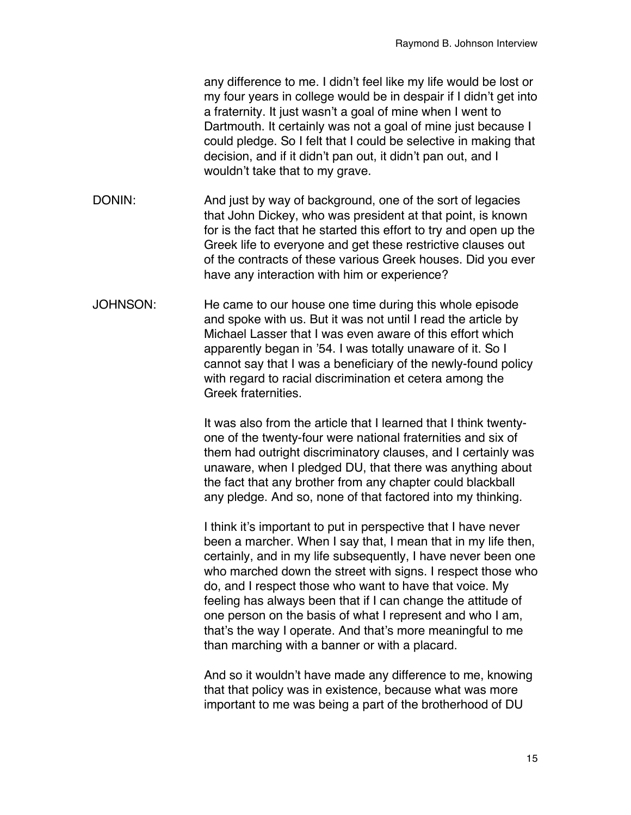any difference to me. I didn't feel like my life would be lost or my four years in college would be in despair if I didn't get into a fraternity. It just wasn't a goal of mine when I went to Dartmouth. It certainly was not a goal of mine just because I could pledge. So I felt that I could be selective in making that decision, and if it didn't pan out, it didn't pan out, and I wouldn't take that to my grave.

- DONIN: And just by way of background, one of the sort of legacies that John Dickey, who was president at that point, is known for is the fact that he started this effort to try and open up the Greek life to everyone and get these restrictive clauses out of the contracts of these various Greek houses. Did you ever have any interaction with him or experience?
- JOHNSON: He came to our house one time during this whole episode and spoke with us. But it was not until I read the article by Michael Lasser that I was even aware of this effort which apparently began in '54. I was totally unaware of it. So I cannot say that I was a beneficiary of the newly-found policy with regard to racial discrimination et cetera among the Greek fraternities.

It was also from the article that I learned that I think twentyone of the twenty-four were national fraternities and six of them had outright discriminatory clauses, and I certainly was unaware, when I pledged DU, that there was anything about the fact that any brother from any chapter could blackball any pledge. And so, none of that factored into my thinking.

I think it's important to put in perspective that I have never been a marcher. When I say that, I mean that in my life then, certainly, and in my life subsequently, I have never been one who marched down the street with signs. I respect those who do, and I respect those who want to have that voice. My feeling has always been that if I can change the attitude of one person on the basis of what I represent and who I am, that's the way I operate. And that's more meaningful to me than marching with a banner or with a placard.

And so it wouldn't have made any difference to me, knowing that that policy was in existence, because what was more important to me was being a part of the brotherhood of DU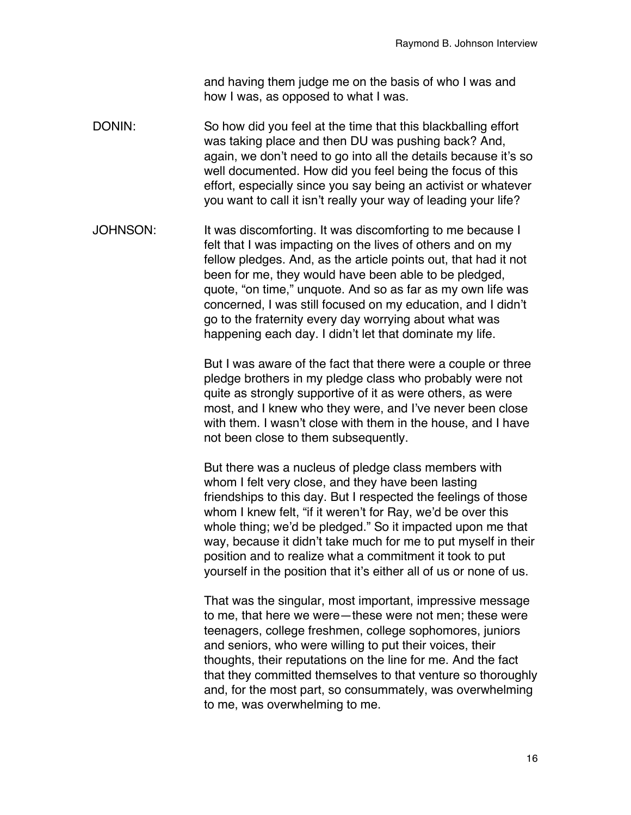and having them judge me on the basis of who I was and how I was, as opposed to what I was.

- DONIN: So how did you feel at the time that this blackballing effort was taking place and then DU was pushing back? And, again, we don't need to go into all the details because it's so well documented. How did you feel being the focus of this effort, especially since you say being an activist or whatever you want to call it isn't really your way of leading your life?
- JOHNSON: It was discomforting. It was discomforting to me because I felt that I was impacting on the lives of others and on my fellow pledges. And, as the article points out, that had it not been for me, they would have been able to be pledged, quote, "on time," unquote. And so as far as my own life was concerned, I was still focused on my education, and I didn't go to the fraternity every day worrying about what was happening each day. I didn't let that dominate my life.

But I was aware of the fact that there were a couple or three pledge brothers in my pledge class who probably were not quite as strongly supportive of it as were others, as were most, and I knew who they were, and I've never been close with them. I wasn't close with them in the house, and I have not been close to them subsequently.

But there was a nucleus of pledge class members with whom I felt very close, and they have been lasting friendships to this day. But I respected the feelings of those whom I knew felt, "if it weren't for Ray, we'd be over this whole thing; we'd be pledged." So it impacted upon me that way, because it didn't take much for me to put myself in their position and to realize what a commitment it took to put yourself in the position that it's either all of us or none of us.

That was the singular, most important, impressive message to me, that here we were—these were not men; these were teenagers, college freshmen, college sophomores, juniors and seniors, who were willing to put their voices, their thoughts, their reputations on the line for me. And the fact that they committed themselves to that venture so thoroughly and, for the most part, so consummately, was overwhelming to me, was overwhelming to me.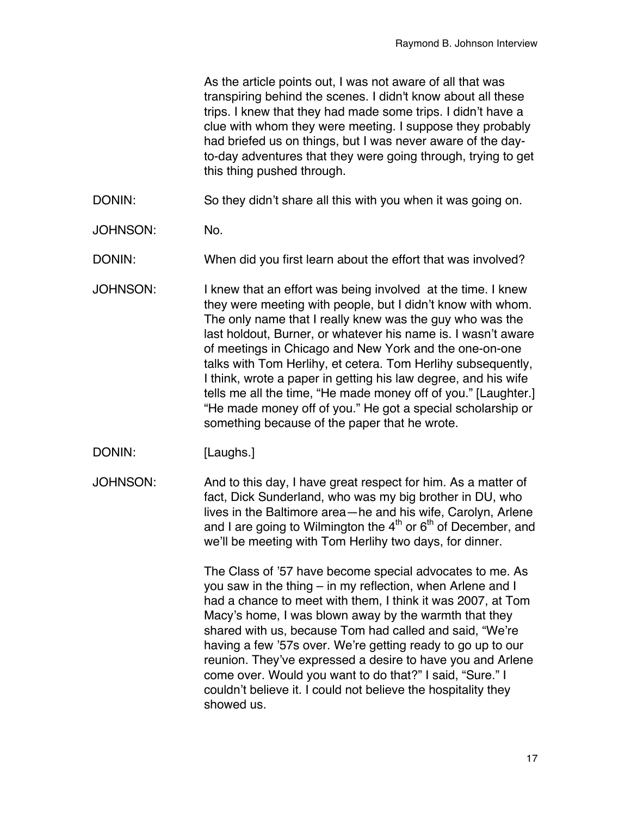As the article points out, I was not aware of all that was transpiring behind the scenes. I didn't know about all these trips. I knew that they had made some trips. I didn't have a clue with whom they were meeting. I suppose they probably had briefed us on things, but I was never aware of the dayto-day adventures that they were going through, trying to get this thing pushed through.

DONIN: So they didn't share all this with you when it was going on.

JOHNSON: No.

DONIN: When did you first learn about the effort that was involved?

- JOHNSON: I knew that an effort was being involved at the time. I knew they were meeting with people, but I didn't know with whom. The only name that I really knew was the guy who was the last holdout, Burner, or whatever his name is. I wasn't aware of meetings in Chicago and New York and the one-on-one talks with Tom Herlihy, et cetera. Tom Herlihy subsequently, I think, wrote a paper in getting his law degree, and his wife tells me all the time, "He made money off of you." [Laughter.] "He made money off of you." He got a special scholarship or something because of the paper that he wrote.
- DONIN: [Laughs.]
- JOHNSON: And to this day, I have great respect for him. As a matter of fact, Dick Sunderland, who was my big brother in DU, who lives in the Baltimore area—he and his wife, Carolyn, Arlene and I are going to Wilmington the  $4<sup>th</sup>$  or  $6<sup>th</sup>$  of December, and we'll be meeting with Tom Herlihy two days, for dinner.

The Class of '57 have become special advocates to me. As you saw in the thing – in my reflection, when Arlene and I had a chance to meet with them, I think it was 2007, at Tom Macy's home, I was blown away by the warmth that they shared with us, because Tom had called and said, "We're having a few '57s over. We're getting ready to go up to our reunion. They've expressed a desire to have you and Arlene come over. Would you want to do that?" I said, "Sure." I couldn't believe it. I could not believe the hospitality they showed us.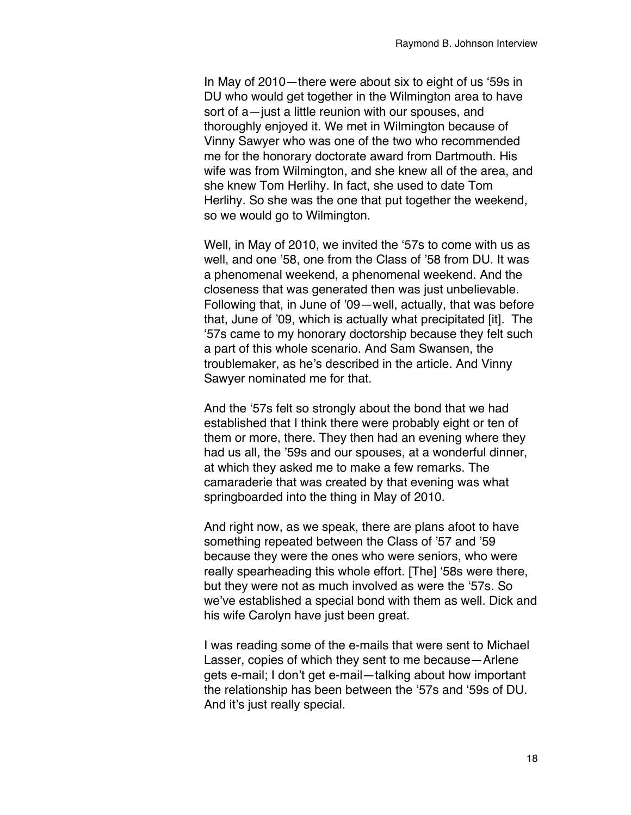In May of 2010—there were about six to eight of us ʻ59s in DU who would get together in the Wilmington area to have sort of a—just a little reunion with our spouses, and thoroughly enjoyed it. We met in Wilmington because of Vinny Sawyer who was one of the two who recommended me for the honorary doctorate award from Dartmouth. His wife was from Wilmington, and she knew all of the area, and she knew Tom Herlihy. In fact, she used to date Tom Herlihy. So she was the one that put together the weekend, so we would go to Wilmington.

Well, in May of 2010, we invited the ʻ57s to come with us as well, and one '58, one from the Class of '58 from DU. It was a phenomenal weekend, a phenomenal weekend. And the closeness that was generated then was just unbelievable. Following that, in June of '09—well, actually, that was before that, June of '09, which is actually what precipitated [it]. The ʻ57s came to my honorary doctorship because they felt such a part of this whole scenario. And Sam Swansen, the troublemaker, as he's described in the article. And Vinny Sawyer nominated me for that.

And the ʻ57s felt so strongly about the bond that we had established that I think there were probably eight or ten of them or more, there. They then had an evening where they had us all, the '59s and our spouses, at a wonderful dinner, at which they asked me to make a few remarks. The camaraderie that was created by that evening was what springboarded into the thing in May of 2010.

And right now, as we speak, there are plans afoot to have something repeated between the Class of '57 and '59 because they were the ones who were seniors, who were really spearheading this whole effort. [The] ʻ58s were there, but they were not as much involved as were the ʻ57s. So we've established a special bond with them as well. Dick and his wife Carolyn have just been great.

I was reading some of the e-mails that were sent to Michael Lasser, copies of which they sent to me because—Arlene gets e-mail; I don't get e-mail—talking about how important the relationship has been between the ʻ57s and ʻ59s of DU. And it's just really special.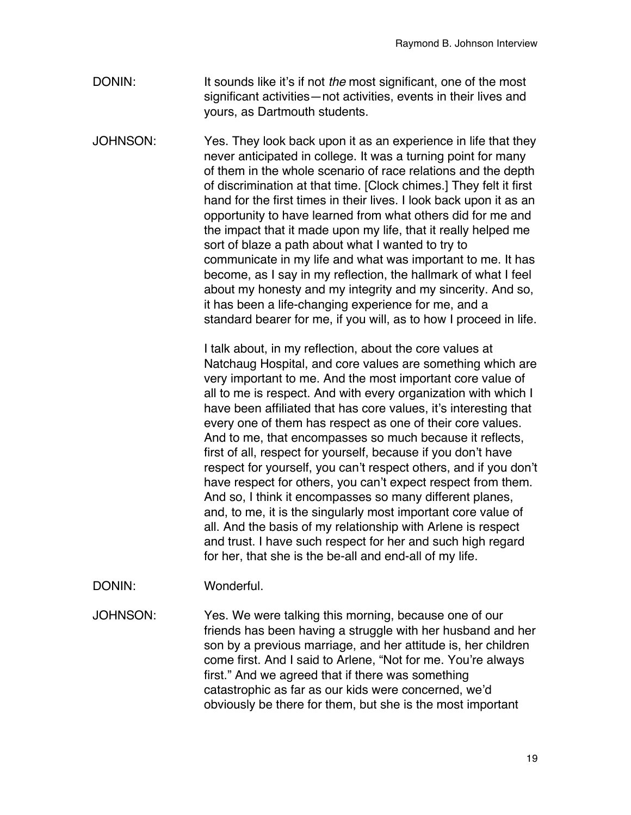- DONIN: It sounds like it's if not *the* most significant, one of the most significant activities—not activities, events in their lives and yours, as Dartmouth students.
- JOHNSON: Yes. They look back upon it as an experience in life that they never anticipated in college. It was a turning point for many of them in the whole scenario of race relations and the depth of discrimination at that time. [Clock chimes.] They felt it first hand for the first times in their lives. I look back upon it as an opportunity to have learned from what others did for me and the impact that it made upon my life, that it really helped me sort of blaze a path about what I wanted to try to communicate in my life and what was important to me. It has become, as I say in my reflection, the hallmark of what I feel about my honesty and my integrity and my sincerity. And so, it has been a life-changing experience for me, and a standard bearer for me, if you will, as to how I proceed in life.

I talk about, in my reflection, about the core values at Natchaug Hospital, and core values are something which are very important to me. And the most important core value of all to me is respect. And with every organization with which I have been affiliated that has core values, it's interesting that every one of them has respect as one of their core values. And to me, that encompasses so much because it reflects, first of all, respect for yourself, because if you don't have respect for yourself, you can't respect others, and if you don't have respect for others, you can't expect respect from them. And so, I think it encompasses so many different planes, and, to me, it is the singularly most important core value of all. And the basis of my relationship with Arlene is respect and trust. I have such respect for her and such high regard for her, that she is the be-all and end-all of my life.

DONIN: Wonderful.

JOHNSON: Yes. We were talking this morning, because one of our friends has been having a struggle with her husband and her son by a previous marriage, and her attitude is, her children come first. And I said to Arlene, "Not for me. You're always first." And we agreed that if there was something catastrophic as far as our kids were concerned, we'd obviously be there for them, but she is the most important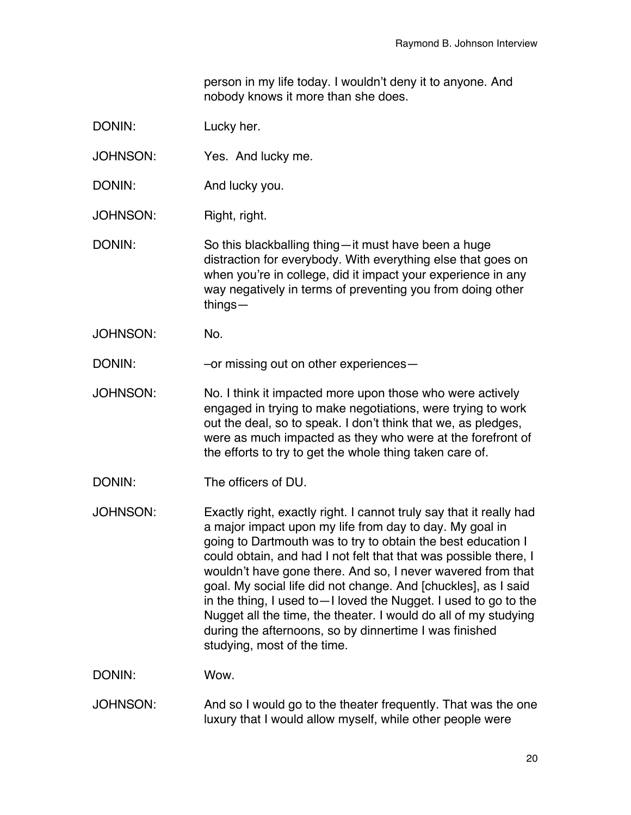person in my life today. I wouldn't deny it to anyone. And nobody knows it more than she does.

- DONIN: Lucky her.
- JOHNSON: Yes. And lucky me.
- DONIN: And lucky you.
- JOHNSON: Right, right.
- DONIN: So this blackballing thing—it must have been a huge distraction for everybody. With everything else that goes on when you're in college, did it impact your experience in any way negatively in terms of preventing you from doing other things—
- JOHNSON: No.

DONIN: – –or missing out on other experiences

- JOHNSON: No. I think it impacted more upon those who were actively engaged in trying to make negotiations, were trying to work out the deal, so to speak. I don't think that we, as pledges, were as much impacted as they who were at the forefront of the efforts to try to get the whole thing taken care of.
- DONIN: The officers of DU.

JOHNSON: Exactly right, exactly right. I cannot truly say that it really had a major impact upon my life from day to day. My goal in going to Dartmouth was to try to obtain the best education I could obtain, and had I not felt that that was possible there, I wouldn't have gone there. And so, I never wavered from that goal. My social life did not change. And [chuckles], as I said in the thing, I used to—I loved the Nugget. I used to go to the Nugget all the time, the theater. I would do all of my studying during the afternoons, so by dinnertime I was finished studying, most of the time.

- DONIN: Wow.
- JOHNSON: And so I would go to the theater frequently. That was the one luxury that I would allow myself, while other people were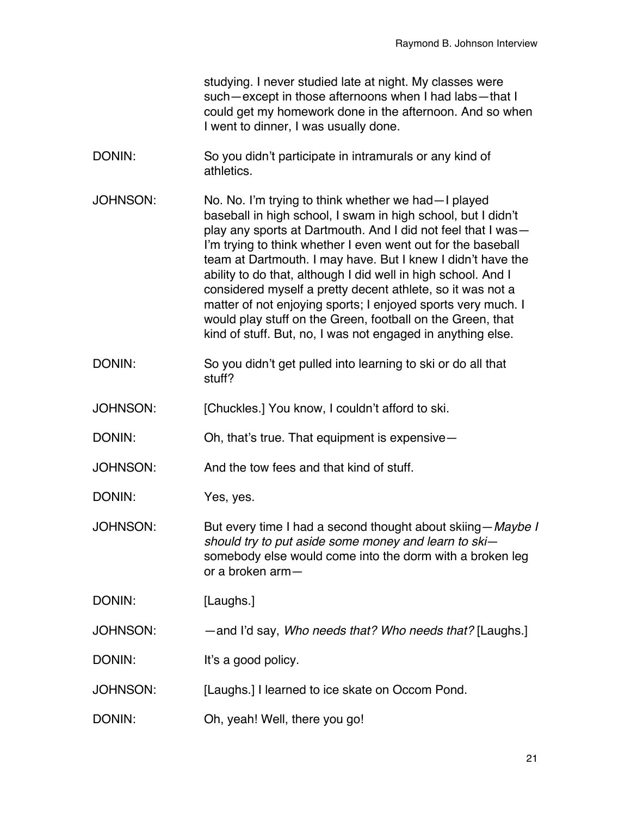studying. I never studied late at night. My classes were such—except in those afternoons when I had labs—that I could get my homework done in the afternoon. And so when I went to dinner, I was usually done.

- DONIN: So you didn't participate in intramurals or any kind of athletics.
- JOHNSON: No. No. I'm trying to think whether we had—I played baseball in high school, I swam in high school, but I didn't play any sports at Dartmouth. And I did not feel that I was— I'm trying to think whether I even went out for the baseball team at Dartmouth. I may have. But I knew I didn't have the ability to do that, although I did well in high school. And I considered myself a pretty decent athlete, so it was not a matter of not enjoying sports; I enjoyed sports very much. I would play stuff on the Green, football on the Green, that kind of stuff. But, no, I was not engaged in anything else.
- DONIN: So you didn't get pulled into learning to ski or do all that stuff?
- JOHNSON: [Chuckles.] You know, I couldn't afford to ski.

DONIN: Oh, that's true. That equipment is expensive—

- JOHNSON: And the tow fees and that kind of stuff.
- DONIN: Yes, yes.
- JOHNSON: But every time I had a second thought about skiing—*Maybe I should try to put aside some money and learn to ski* somebody else would come into the dorm with a broken leg or a broken arm—

DONIN: [Laughs.]

JOHNSON: —and I'd say, *Who needs that? Who needs that?* [Laughs.]

DONIN: It's a good policy.

- JOHNSON: [Laughs.] I learned to ice skate on Occom Pond.
- DONIN: Oh, yeah! Well, there you go!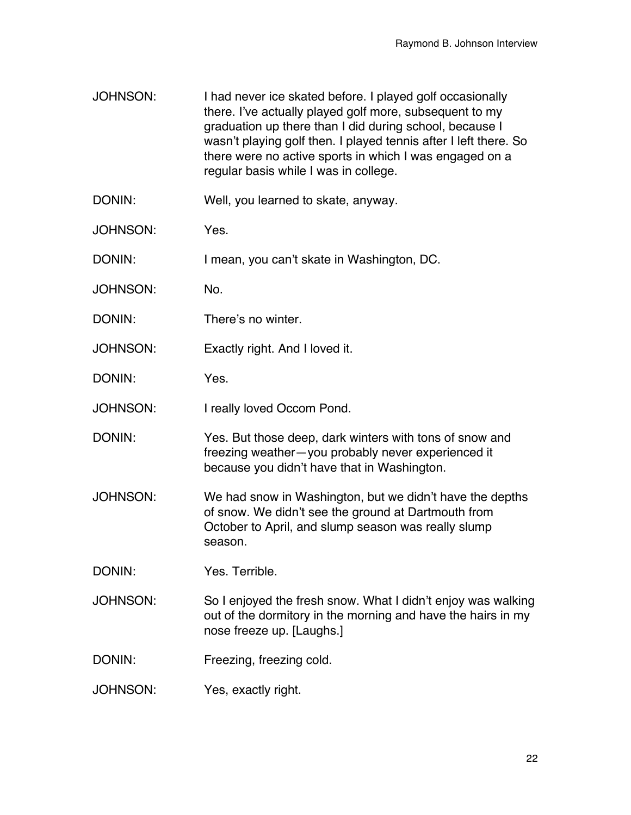- JOHNSON: I had never ice skated before. I played golf occasionally there. I've actually played golf more, subsequent to my graduation up there than I did during school, because I wasn't playing golf then. I played tennis after I left there. So there were no active sports in which I was engaged on a regular basis while I was in college.
- DONIN: Well, you learned to skate, anyway.
- JOHNSON: Yes.
- DONIN: I mean, you can't skate in Washington, DC.
- JOHNSON: No.
- DONIN: There's no winter.
- JOHNSON: Exactly right. And I loved it.
- DONIN: Yes.
- JOHNSON: I really loved Occom Pond.
- DONIN: Yes. But those deep, dark winters with tons of snow and freezing weather—you probably never experienced it because you didn't have that in Washington.
- JOHNSON: We had snow in Washington, but we didn't have the depths of snow. We didn't see the ground at Dartmouth from October to April, and slump season was really slump season.
- DONIN: Yes. Terrible.
- JOHNSON: So I enjoyed the fresh snow. What I didn't enjoy was walking out of the dormitory in the morning and have the hairs in my nose freeze up. [Laughs.]
- DONIN: Freezing, freezing cold.
- JOHNSON: Yes, exactly right.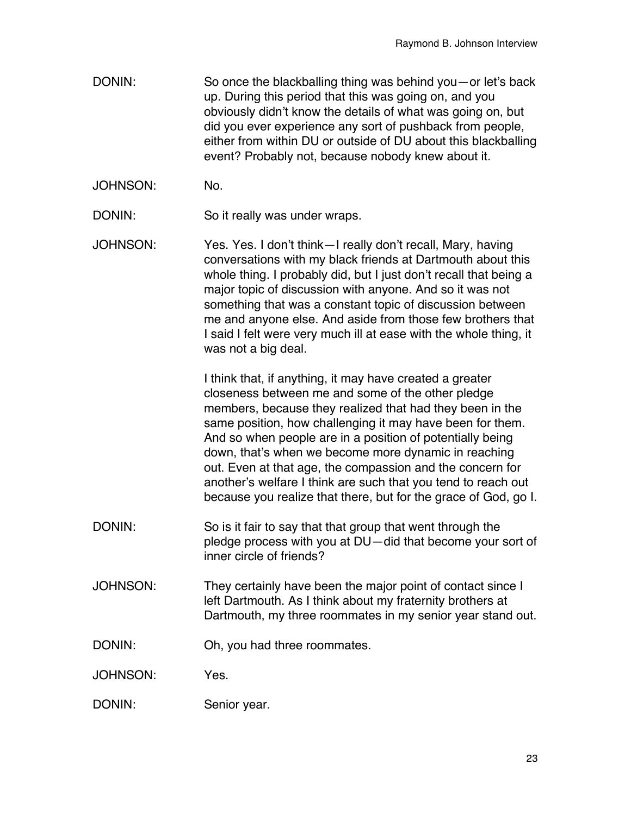- DONIN: So once the blackballing thing was behind you—or let's back up. During this period that this was going on, and you obviously didn't know the details of what was going on, but did you ever experience any sort of pushback from people, either from within DU or outside of DU about this blackballing event? Probably not, because nobody knew about it.
- JOHNSON: No.
- DONIN: So it really was under wraps.
- JOHNSON: Yes. Yes. I don't think—I really don't recall, Mary, having conversations with my black friends at Dartmouth about this whole thing. I probably did, but I just don't recall that being a major topic of discussion with anyone. And so it was not something that was a constant topic of discussion between me and anyone else. And aside from those few brothers that I said I felt were very much ill at ease with the whole thing, it was not a big deal.

I think that, if anything, it may have created a greater closeness between me and some of the other pledge members, because they realized that had they been in the same position, how challenging it may have been for them. And so when people are in a position of potentially being down, that's when we become more dynamic in reaching out. Even at that age, the compassion and the concern for another's welfare I think are such that you tend to reach out because you realize that there, but for the grace of God, go I.

- DONIN: So is it fair to say that that group that went through the pledge process with you at DU—did that become your sort of inner circle of friends?
- JOHNSON: They certainly have been the major point of contact since I left Dartmouth. As I think about my fraternity brothers at Dartmouth, my three roommates in my senior year stand out.
- DONIN: Oh, you had three roommates.
- JOHNSON: Yes.
- DONIN: Senior year.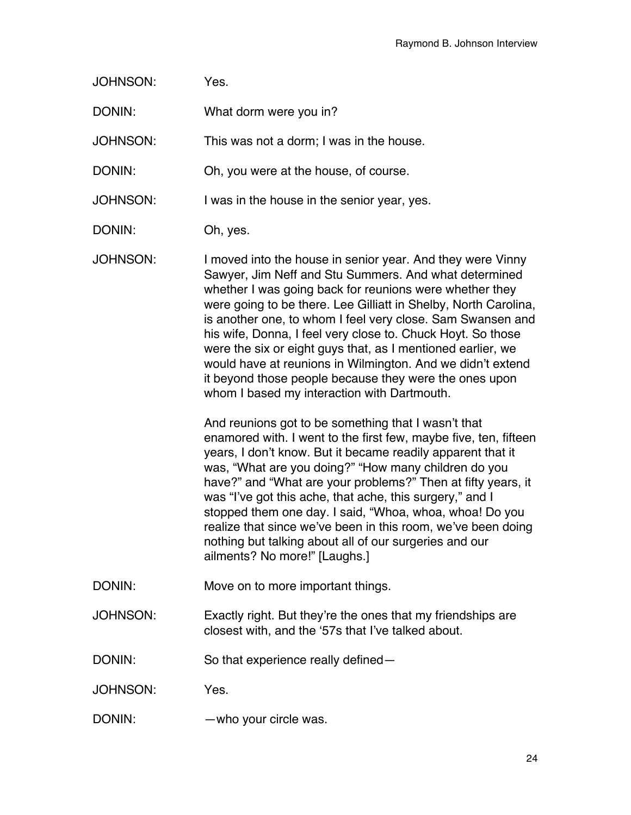| <b>JOHNSON:</b> | Yes.                                                                                                                                                                                                                                                                                                                                                                                                                                                                                                                                                                                                                                                                                                                                                                                                                                                                                                                                                                                                                                                                                                                                                                                                                     |
|-----------------|--------------------------------------------------------------------------------------------------------------------------------------------------------------------------------------------------------------------------------------------------------------------------------------------------------------------------------------------------------------------------------------------------------------------------------------------------------------------------------------------------------------------------------------------------------------------------------------------------------------------------------------------------------------------------------------------------------------------------------------------------------------------------------------------------------------------------------------------------------------------------------------------------------------------------------------------------------------------------------------------------------------------------------------------------------------------------------------------------------------------------------------------------------------------------------------------------------------------------|
| DONIN:          | What dorm were you in?                                                                                                                                                                                                                                                                                                                                                                                                                                                                                                                                                                                                                                                                                                                                                                                                                                                                                                                                                                                                                                                                                                                                                                                                   |
| <b>JOHNSON:</b> | This was not a dorm; I was in the house.                                                                                                                                                                                                                                                                                                                                                                                                                                                                                                                                                                                                                                                                                                                                                                                                                                                                                                                                                                                                                                                                                                                                                                                 |
| DONIN:          | Oh, you were at the house, of course.                                                                                                                                                                                                                                                                                                                                                                                                                                                                                                                                                                                                                                                                                                                                                                                                                                                                                                                                                                                                                                                                                                                                                                                    |
| <b>JOHNSON:</b> | I was in the house in the senior year, yes.                                                                                                                                                                                                                                                                                                                                                                                                                                                                                                                                                                                                                                                                                                                                                                                                                                                                                                                                                                                                                                                                                                                                                                              |
| DONIN:          | Oh, yes.                                                                                                                                                                                                                                                                                                                                                                                                                                                                                                                                                                                                                                                                                                                                                                                                                                                                                                                                                                                                                                                                                                                                                                                                                 |
| <b>JOHNSON:</b> | I moved into the house in senior year. And they were Vinny<br>Sawyer, Jim Neff and Stu Summers. And what determined<br>whether I was going back for reunions were whether they<br>were going to be there. Lee Gilliatt in Shelby, North Carolina,<br>is another one, to whom I feel very close. Sam Swansen and<br>his wife, Donna, I feel very close to. Chuck Hoyt. So those<br>were the six or eight guys that, as I mentioned earlier, we<br>would have at reunions in Wilmington. And we didn't extend<br>it beyond those people because they were the ones upon<br>whom I based my interaction with Dartmouth.<br>And reunions got to be something that I wasn't that<br>enamored with. I went to the first few, maybe five, ten, fifteen<br>years, I don't know. But it became readily apparent that it<br>was, "What are you doing?" "How many children do you<br>have?" and "What are your problems?" Then at fifty years, it<br>was "I've got this ache, that ache, this surgery," and I<br>stopped them one day. I said, "Whoa, whoa, whoa! Do you<br>realize that since we've been in this room, we've been doing<br>nothing but talking about all of our surgeries and our<br>ailments? No more!" [Laughs.] |
| DONIN:          | Move on to more important things.                                                                                                                                                                                                                                                                                                                                                                                                                                                                                                                                                                                                                                                                                                                                                                                                                                                                                                                                                                                                                                                                                                                                                                                        |
| <b>JOHNSON:</b> | Exactly right. But they're the ones that my friendships are<br>closest with, and the '57s that I've talked about.                                                                                                                                                                                                                                                                                                                                                                                                                                                                                                                                                                                                                                                                                                                                                                                                                                                                                                                                                                                                                                                                                                        |
| DONIN:          | So that experience really defined-                                                                                                                                                                                                                                                                                                                                                                                                                                                                                                                                                                                                                                                                                                                                                                                                                                                                                                                                                                                                                                                                                                                                                                                       |
| <b>JOHNSON:</b> | Yes.                                                                                                                                                                                                                                                                                                                                                                                                                                                                                                                                                                                                                                                                                                                                                                                                                                                                                                                                                                                                                                                                                                                                                                                                                     |
| DONIN:          | -who your circle was.                                                                                                                                                                                                                                                                                                                                                                                                                                                                                                                                                                                                                                                                                                                                                                                                                                                                                                                                                                                                                                                                                                                                                                                                    |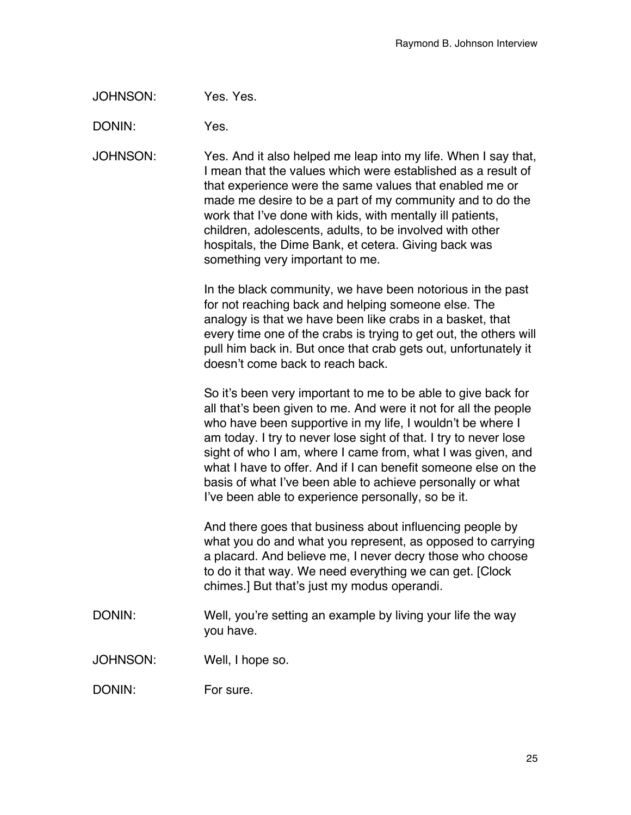JOHNSON: Yes. Yes.

DONIN: Yes.

JOHNSON: Yes. And it also helped me leap into my life. When I say that, I mean that the values which were established as a result of that experience were the same values that enabled me or made me desire to be a part of my community and to do the work that I've done with kids, with mentally ill patients, children, adolescents, adults, to be involved with other hospitals, the Dime Bank, et cetera. Giving back was something very important to me.

> In the black community, we have been notorious in the past for not reaching back and helping someone else. The analogy is that we have been like crabs in a basket, that every time one of the crabs is trying to get out, the others will pull him back in. But once that crab gets out, unfortunately it doesn't come back to reach back.

> So it's been very important to me to be able to give back for all that's been given to me. And were it not for all the people who have been supportive in my life, I wouldn't be where I am today. I try to never lose sight of that. I try to never lose sight of who I am, where I came from, what I was given, and what I have to offer. And if I can benefit someone else on the basis of what I've been able to achieve personally or what I've been able to experience personally, so be it.

> And there goes that business about influencing people by what you do and what you represent, as opposed to carrying a placard. And believe me, I never decry those who choose to do it that way. We need everything we can get. [Clock chimes.] But that's just my modus operandi.

- DONIN: Well, you're setting an example by living your life the way you have.
- JOHNSON: Well, I hope so.

DONIN: For sure.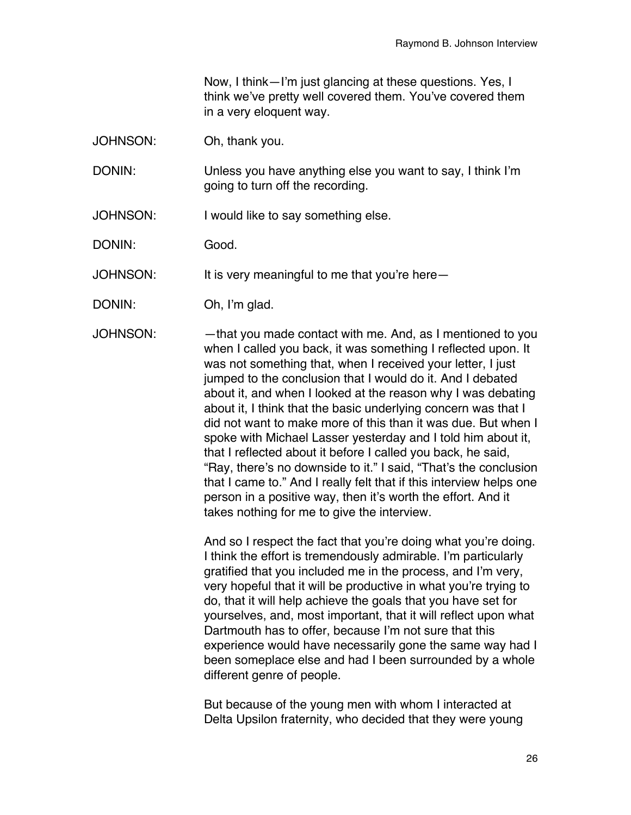Now, I think—I'm just glancing at these questions. Yes, I think we've pretty well covered them. You've covered them in a very eloquent way.

JOHNSON: Oh, thank you.

DONIN: Unless you have anything else you want to say, I think I'm going to turn off the recording.

JOHNSON: I would like to say something else.

DONIN: Good.

JOHNSON: It is very meaningful to me that you're here—

DONIN: Oh, I'm glad.

JOHNSON: —that you made contact with me. And, as I mentioned to you when I called you back, it was something I reflected upon. It was not something that, when I received your letter, I just jumped to the conclusion that I would do it. And I debated about it, and when I looked at the reason why I was debating about it, I think that the basic underlying concern was that I did not want to make more of this than it was due. But when I spoke with Michael Lasser yesterday and I told him about it, that I reflected about it before I called you back, he said, "Ray, there's no downside to it." I said, "That's the conclusion that I came to." And I really felt that if this interview helps one person in a positive way, then it's worth the effort. And it takes nothing for me to give the interview.

> And so I respect the fact that you're doing what you're doing. I think the effort is tremendously admirable. I'm particularly gratified that you included me in the process, and I'm very, very hopeful that it will be productive in what you're trying to do, that it will help achieve the goals that you have set for yourselves, and, most important, that it will reflect upon what Dartmouth has to offer, because I'm not sure that this experience would have necessarily gone the same way had I been someplace else and had I been surrounded by a whole different genre of people.

But because of the young men with whom I interacted at Delta Upsilon fraternity, who decided that they were young